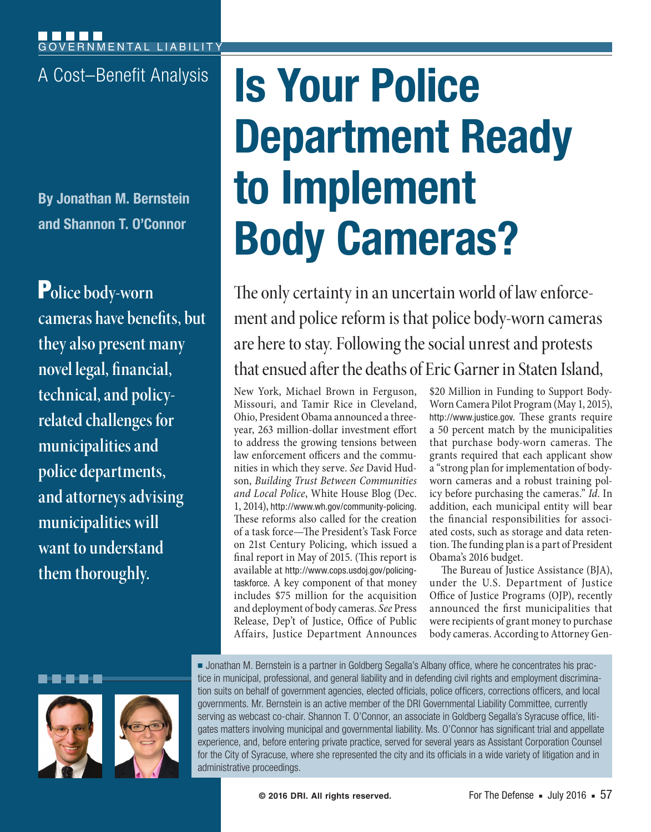**By Jonathan M. Bernstein and Shannon T. O'Connor**

P**olice body-worn cameras have benefits, but they also present many novel legal, financial, technical, and policyrelated challenges for municipalities and police departments, and attorneys advising municipalities will want to understand them thoroughly.**

# A Cost–Benefit Analysis **IS Your Police Department Ready to Implement Body Cameras?**

The only certainty in an uncertain world of law enforcement and police reform is that police body-worn cameras are here to stay. Following the social unrest and protests that ensued after the deaths of Eric Garner in Staten Island,

New York, Michael Brown in Ferguson, Missouri, and Tamir Rice in Cleveland, Ohio, President Obama announced a threeyear, 263 million-dollar investment effort to address the growing tensions between law enforcement officers and the communities in which they serve. *See* David Hudson, *Building Trust Between Communities and Local Police*, White House Blog (Dec. 1, 2014), http://www.wh.gov/community-policing. These reforms also called for the creation of a task force—The President's Task Force on 21st Century Policing, which issued a final report in May of 2015. (This report is available at http://www.cops.usdoj.gov/policingtaskforce. A key component of that money includes \$75 million for the acquisition and deployment of body cameras. *See* Press Release, Dep't of Justice, Office of Public Affairs, Justice Department Announces

\$20 Million in Funding to Support Body-Worn Camera Pilot Program (May 1, 2015), http://www.justice.gov. These grants require a 50 percent match by the municipalities that purchase body-worn cameras. The grants required that each applicant show a "strong plan for implementation of bodyworn cameras and a robust training policy before purchasing the cameras." *Id*. In addition, each municipal entity will bear the financial responsibilities for associated costs, such as storage and data retention. The funding plan is a part of President Obama's 2016 budget.

The Bureau of Justice Assistance (BJA), under the U.S. Department of Justice Office of Justice Programs (OJP), recently announced the first municipalities that were recipients of grant money to purchase body cameras. According to Attorney Gen-

<u>man mana</u>



■ Jonathan M. Bernstein is a partner in Goldberg Segalla's Albany office, where he concentrates his practice in municipal, professional, and general liability and in defending civil rights and employment discrimination suits on behalf of government agencies, elected officials, police officers, corrections officers, and local governments. Mr. Bernstein is an active member of the DRI Governmental Liability Committee, currently serving as webcast co-chair. Shannon T. O'Connor, an associate in Goldberg Segalla's Syracuse office, litigates matters involving municipal and governmental liability. Ms. O'Connor has significant trial and appellate experience, and, before entering private practice, served for several years as Assistant Corporation Counsel for the City of Syracuse, where she represented the city and its officials in a wide variety of litigation and in administrative proceedings.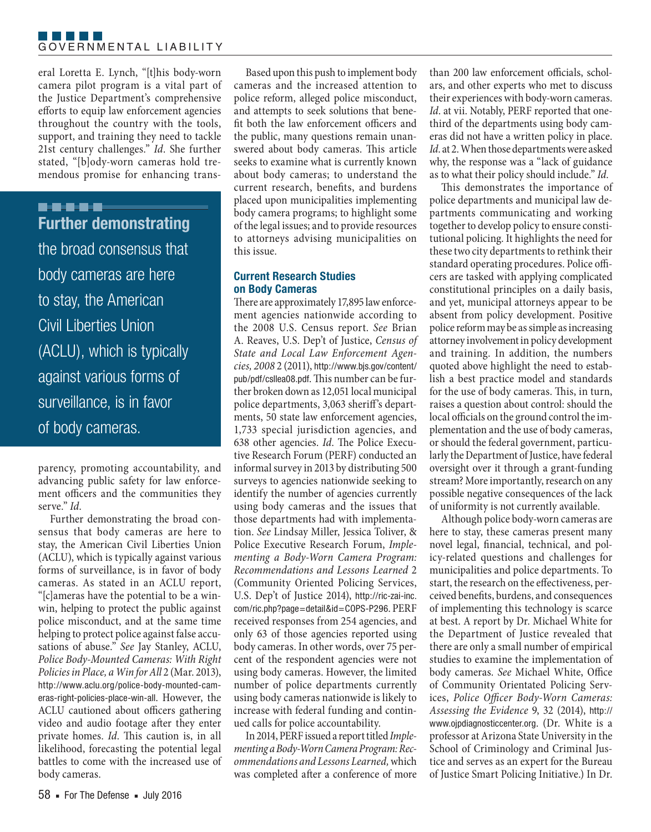#### F F F F F F GOVERNMENTAL LIABILITY

eral Loretta E. Lynch, "[t]his body-worn camera pilot program is a vital part of the Justice Department's comprehensive efforts to equip law enforcement agencies throughout the country with the tools, support, and training they need to tackle 21st century challenges." *Id*. She further stated, "[b]ody-worn cameras hold tremendous promise for enhancing trans-

## **B-9-8-8-8 Further demonstrating**

the broad consensus that body cameras are here to stay, the American Civil Liberties Union (ACLU), which is typically against various forms of surveillance, is in favor of body cameras.

parency, promoting accountability, and advancing public safety for law enforcement officers and the communities they serve." *Id*.

Further demonstrating the broad consensus that body cameras are here to stay, the American Civil Liberties Union (ACLU), which is typically against various forms of surveillance, is in favor of body cameras. As stated in an ACLU report, "[c]ameras have the potential to be a winwin, helping to protect the public against police misconduct, and at the same time helping to protect police against false accusations of abuse." *See* Jay Stanley, ACLU, *Police Body-Mounted Cameras: With Right Policies in Place, a Win for All* 2 (Mar. 2013), http://www.aclu.org/police-body-mounted-cameras-right-policies-place-win-all. However, the ACLU cautioned about officers gathering video and audio footage after they enter private homes. *Id*. This caution is, in all likelihood, forecasting the potential legal battles to come with the increased use of body cameras.

Based upon this push to implement body cameras and the increased attention to police reform, alleged police misconduct, and attempts to seek solutions that benefit both the law enforcement officers and the public, many questions remain unanswered about body cameras. This article seeks to examine what is currently known about body cameras; to understand the current research, benefits, and burdens placed upon municipalities implementing body camera programs; to highlight some of the legal issues; and to provide resources to attorneys advising municipalities on this issue.

### **Current Research Studies on Body Cameras**

There are approximately 17,895 law enforcement agencies nationwide according to the 2008 U.S. Census report. *See* Brian A. Reaves, U.S. Dep't of Justice, *Census of State and Local Law Enforcement Agencies, 2008* 2 (2011), http://www.bjs.gov/content/ pub/pdf/csllea08.pdf. This number can be further broken down as 12,051 local municipal police departments, 3,063 sheriff's departments, 50 state law enforcement agencies, 1,733 special jurisdiction agencies, and 638 other agencies. *Id*. The Police Executive Research Forum (PERF) conducted an informal survey in 2013 by distributing 500 surveys to agencies nationwide seeking to identify the number of agencies currently using body cameras and the issues that those departments had with implementation. *See* Lindsay Miller, Jessica Toliver, & Police Executive Research Forum, *Implementing a Body-Worn Camera Program: Recommendations and Lessons Learned* 2 (Community Oriented Policing Services, U.S. Dep't of Justice 2014), http://ric-zai-inc. com/ric.php?page=detail&id=COPS-P296. PERF received responses from 254 agencies, and only 63 of those agencies reported using body cameras. In other words, over 75 percent of the respondent agencies were not using body cameras. However, the limited number of police departments currently using body cameras nationwide is likely to increase with federal funding and continued calls for police accountability.

In 2014, PERF issued a report titled *Implementing a Body-Worn Camera Program: Recommendations and Lessons Learned,* which was completed after a conference of more than 200 law enforcement officials, scholars, and other experts who met to discuss their experiences with body-worn cameras. *Id*. at vii. Notably, PERF reported that onethird of the departments using body cameras did not have a written policy in place. *Id*. at 2. When those departments were asked why, the response was a "lack of guidance as to what their policy should include." *Id*.

This demonstrates the importance of police departments and municipal law departments communicating and working together to develop policy to ensure constitutional policing. It highlights the need for these two city departments to rethink their standard operating procedures. Police officers are tasked with applying complicated constitutional principles on a daily basis, and yet, municipal attorneys appear to be absent from policy development. Positive police reform may be as simple as increasing attorney involvement in policy development and training. In addition, the numbers quoted above highlight the need to establish a best practice model and standards for the use of body cameras. This, in turn, raises a question about control: should the local officials on the ground control the implementation and the use of body cameras, or should the federal government, particularly the Department of Justice, have federal oversight over it through a grant-funding stream? More importantly, research on any possible negative consequences of the lack of uniformity is not currently available.

Although police body-worn cameras are here to stay, these cameras present many novel legal, financial, technical, and policy-related questions and challenges for municipalities and police departments. To start, the research on the effectiveness, perceived benefits, burdens, and consequences of implementing this technology is scarce at best. A report by Dr. Michael White for the Department of Justice revealed that there are only a small number of empirical studies to examine the implementation of body cameras. *See* Michael White, Office of Community Orientated Policing Services, *Police Officer Body-Worn Cameras: Assessing the Evidence* 9, 32 (2014), http:// www.ojpdiagnosticcenter.org. (Dr. White is a professor at Arizona State University in the School of Criminology and Criminal Justice and serves as an expert for the Bureau of Justice Smart Policing Initiative.) In Dr.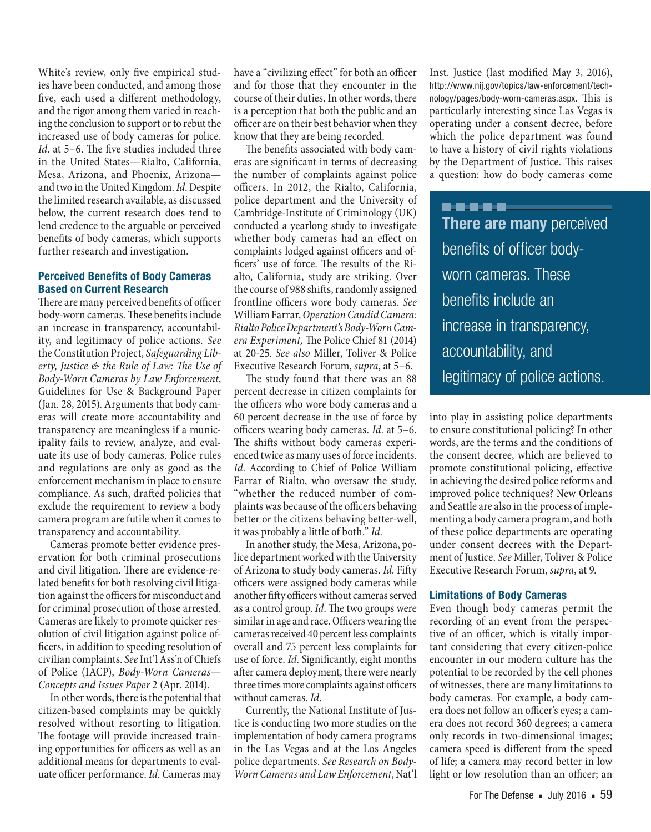White's review, only five empirical studies have been conducted, and among those five, each used a different methodology, and the rigor among them varied in reaching the conclusion to support or to rebut the increased use of body cameras for police. *Id*. at 5–6. The five studies included three in the United States—Rialto, California, Mesa, Arizona, and Phoenix, Arizona and two in the United Kingdom. *Id*. Despite the limited research available, as discussed below, the current research does tend to lend credence to the arguable or perceived benefits of body cameras, which supports further research and investigation.

#### **Perceived Benefits of Body Cameras Based on Current Research**

There are many perceived benefits of officer body-worn cameras. These benefits include an increase in transparency, accountability, and legitimacy of police actions. *See* the Constitution Project, *Safeguarding Liberty, Justice & the Rule of Law: The Use of Body-Worn Cameras by Law Enforcement*, Guidelines for Use & Background Paper (Jan. 28, 2015). Arguments that body cameras will create more accountability and transparency are meaningless if a municipality fails to review, analyze, and evaluate its use of body cameras. Police rules and regulations are only as good as the enforcement mechanism in place to ensure compliance. As such, drafted policies that exclude the requirement to review a body camera program are futile when it comes to transparency and accountability.

Cameras promote better evidence preservation for both criminal prosecutions and civil litigation. There are evidence-related benefits for both resolving civil litigation against the officers for misconduct and for criminal prosecution of those arrested. Cameras are likely to promote quicker resolution of civil litigation against police officers, in addition to speeding resolution of civilian complaints. *See* Int'l Ass'n of Chiefs of Police (IACP), *Body-Worn Cameras*— *Concepts and Issues Paper* 2 (Apr. 2014).

In other words, there is the potential that citizen-based complaints may be quickly resolved without resorting to litigation. The footage will provide increased training opportunities for officers as well as an additional means for departments to evaluate officer performance. *Id*. Cameras may

have a "civilizing effect" for both an officer and for those that they encounter in the course of their duties. In other words, there is a perception that both the public and an officer are on their best behavior when they know that they are being recorded.

The benefits associated with body cameras are significant in terms of decreasing the number of complaints against police officers. In 2012, the Rialto, California, police department and the University of Cambridge-Institute of Criminology (UK) conducted a yearlong study to investigate whether body cameras had an effect on complaints lodged against officers and officers' use of force. The results of the Rialto, California, study are striking. Over the course of 988 shifts, randomly assigned frontline officers wore body cameras. *See* William Farrar, *Operation Candid Camera: Rialto Police Department's Body-Worn Camera Experiment,* The Police Chief 81 (2014) at 20-25. *See also* Miller, Toliver & Police Executive Research Forum, *supra*, at 5–6.

The study found that there was an 88 percent decrease in citizen complaints for the officers who wore body cameras and a 60 percent decrease in the use of force by officers wearing body cameras. *Id*. at 5–6. The shifts without body cameras experienced twice as many uses of force incidents. *Id*. According to Chief of Police William Farrar of Rialto, who oversaw the study, "whether the reduced number of complaints was because of the officers behaving better or the citizens behaving better-well, it was probably a little of both." *Id*.

In another study, the Mesa, Arizona, police department worked with the University of Arizona to study body cameras. *Id*. Fifty officers were assigned body cameras while another fifty officers without cameras served as a control group. *Id*. The two groups were similar in age and race. Officers wearing the cameras received 40 percent less complaints overall and 75 percent less complaints for use of force. *Id*. Significantly, eight months after camera deployment, there were nearly three times more complaints against officers without cameras. *Id*.

Currently, the National Institute of Justice is conducting two more studies on the implementation of body camera programs in the Las Vegas and at the Los Angeles police departments. *See Research on Body-Worn Cameras and Law Enforcement*, Nat'l

Inst. Justice (last modified May 3, 2016), http://www.nij.gov/topics/law-enforcement/technology/pages/body-worn-cameras.aspx. This is particularly interesting since Las Vegas is operating under a consent decree, before which the police department was found to have a history of civil rights violations by the Department of Justice. This raises a question: how do body cameras come

**. . . . . There are many** perceived benefits of officer bodyworn cameras. These benefits include an increase in transparency, accountability, and legitimacy of police actions.

into play in assisting police departments to ensure constitutional policing? In other words, are the terms and the conditions of the consent decree, which are believed to promote constitutional policing, effective in achieving the desired police reforms and improved police techniques? New Orleans and Seattle are also in the process of implementing a body camera program, and both of these police departments are operating under consent decrees with the Department of Justice. *See* Miller, Toliver & Police Executive Research Forum, *supra*, at 9.

#### **Limitations of Body Cameras**

Even though body cameras permit the recording of an event from the perspective of an officer, which is vitally important considering that every citizen-police encounter in our modern culture has the potential to be recorded by the cell phones of witnesses, there are many limitations to body cameras. For example, a body camera does not follow an officer's eyes; a camera does not record 360 degrees; a camera only records in two-dimensional images; camera speed is different from the speed of life; a camera may record better in low light or low resolution than an officer; an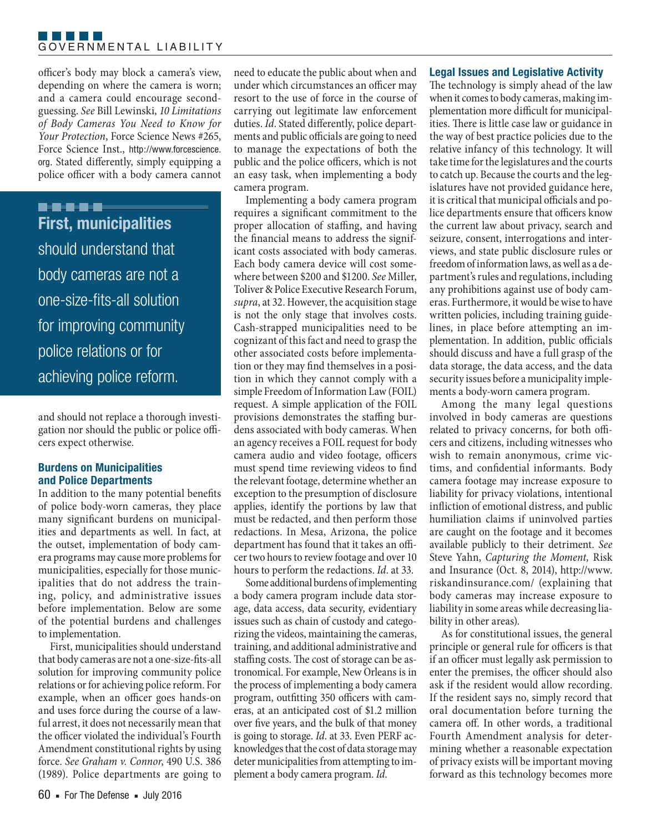#### F F F F F F GOVERNMENTAL LIABILITY

officer's body may block a camera's view, depending on where the camera is worn; and a camera could encourage secondguessing. *See* Bill Lewinski, *10 Limitations of Body Cameras You Need to Know for Your Protection*, Force Science News #265, Force Science Inst., http://www.forcescience. org. Stated differently, simply equipping a police officer with a body camera cannot

**B-9-9-9-9 First, municipalities**  should understand that body cameras are not a one-size-fits-all solution for improving community police relations or for achieving police reform.

and should not replace a thorough investigation nor should the public or police officers expect otherwise.

#### **Burdens on Municipalities and Police Departments**

In addition to the many potential benefits of police body-worn cameras, they place many significant burdens on municipalities and departments as well. In fact, at the outset, implementation of body camera programs may cause more problems for municipalities, especially for those municipalities that do not address the training, policy, and administrative issues before implementation. Below are some of the potential burdens and challenges to implementation.

First, municipalities should understand that body cameras are not a one-size-fits-all solution for improving community police relations or for achieving police reform. For example, when an officer goes hands-on and uses force during the course of a lawful arrest, it does not necessarily mean that the officer violated the individual's Fourth Amendment constitutional rights by using force. *See Graham v. Connor*, 490 U.S. 386 (1989). Police departments are going to

need to educate the public about when and under which circumstances an officer may resort to the use of force in the course of carrying out legitimate law enforcement duties. *Id*. Stated differently, police departments and public officials are going to need to manage the expectations of both the public and the police officers, which is not an easy task, when implementing a body camera program.

Implementing a body camera program requires a significant commitment to the proper allocation of staffing, and having the financial means to address the significant costs associated with body cameras. Each body camera device will cost somewhere between \$200 and \$1200. *See* Miller, Toliver & Police Executive Research Forum, *supra*, at 32. However, the acquisition stage is not the only stage that involves costs. Cash-strapped municipalities need to be cognizant of this fact and need to grasp the other associated costs before implementation or they may find themselves in a position in which they cannot comply with a simple Freedom of Information Law (FOIL) request. A simple application of the FOIL provisions demonstrates the staffing burdens associated with body cameras. When an agency receives a FOIL request for body camera audio and video footage, officers must spend time reviewing videos to find the relevant footage, determine whether an exception to the presumption of disclosure applies, identify the portions by law that must be redacted, and then perform those redactions. In Mesa, Arizona, the police department has found that it takes an officer two hours to review footage and over 10 hours to perform the redactions. *Id*. at 33.

Some additional burdens of implementing a body camera program include data storage, data access, data security, evidentiary issues such as chain of custody and categorizing the videos, maintaining the cameras, training, and additional administrative and staffing costs. The cost of storage can be astronomical. For example, New Orleans is in the process of implementing a body camera program, outfitting 350 officers with cameras, at an anticipated cost of \$1.2 million over five years, and the bulk of that money is going to storage. *Id*. at 33. Even PERF acknowledges that the cost of data storage may deter municipalities from attempting to implement a body camera program. *Id*.

#### **Legal Issues and Legislative Activity**

The technology is simply ahead of the law when it comes to body cameras, making implementation more difficult for municipalities. There is little case law or guidance in the way of best practice policies due to the relative infancy of this technology. It will take time for the legislatures and the courts to catch up. Because the courts and the legislatures have not provided guidance here, it is critical that municipal officials and police departments ensure that officers know the current law about privacy, search and seizure, consent, interrogations and interviews, and state public disclosure rules or freedom of information laws, as well as a department's rules and regulations, including any prohibitions against use of body cameras. Furthermore, it would be wise to have written policies, including training guidelines, in place before attempting an implementation. In addition, public officials should discuss and have a full grasp of the data storage, the data access, and the data security issues before a municipality implements a body-worn camera program.

Among the many legal questions involved in body cameras are questions related to privacy concerns, for both officers and citizens, including witnesses who wish to remain anonymous, crime victims, and confidential informants. Body camera footage may increase exposure to liability for privacy violations, intentional infliction of emotional distress, and public humiliation claims if uninvolved parties are caught on the footage and it becomes available publicly to their detriment. *See* Steve Yahn, *Capturing the Moment,* Risk and Insurance (Oct. 8, 2014), http://www. riskandinsurance.com/ (explaining that body cameras may increase exposure to liability in some areas while decreasing liability in other areas).

As for constitutional issues, the general principle or general rule for officers is that if an officer must legally ask permission to enter the premises, the officer should also ask if the resident would allow recording. If the resident says no, simply record that oral documentation before turning the camera off. In other words, a traditional Fourth Amendment analysis for determining whether a reasonable expectation of privacy exists will be important moving forward as this technology becomes more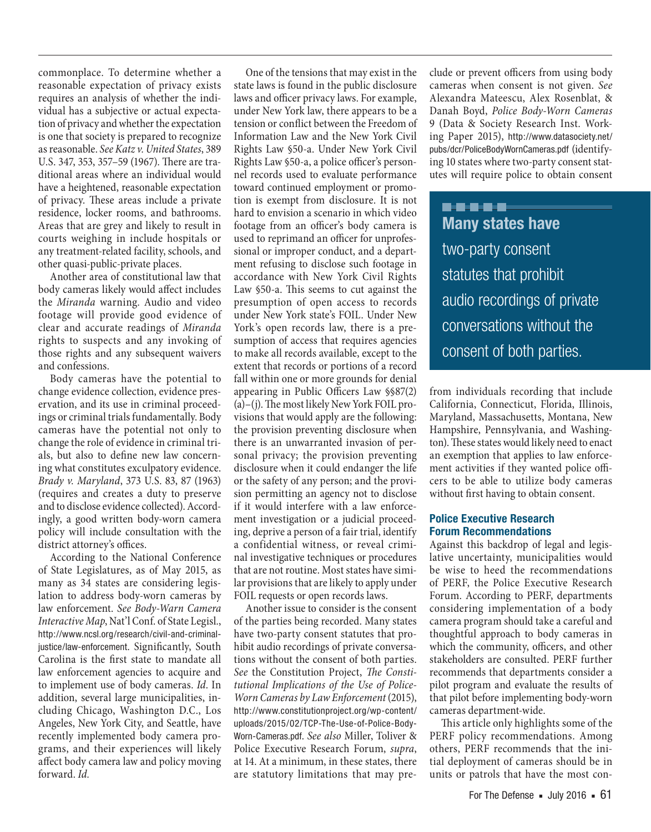commonplace. To determine whether a reasonable expectation of privacy exists requires an analysis of whether the individual has a subjective or actual expectation of privacy and whether the expectation is one that society is prepared to recognize as reasonable. *See Katz v. United States*, 389 U.S. 347, 353, 357–59 (1967). There are traditional areas where an individual would have a heightened, reasonable expectation of privacy. These areas include a private residence, locker rooms, and bathrooms. Areas that are grey and likely to result in courts weighing in include hospitals or any treatment-related facility, schools, and other quasi-public-private places.

Another area of constitutional law that body cameras likely would affect includes the *Miranda* warning. Audio and video footage will provide good evidence of clear and accurate readings of *Miranda* rights to suspects and any invoking of those rights and any subsequent waivers and confessions.

Body cameras have the potential to change evidence collection, evidence preservation, and its use in criminal proceedings or criminal trials fundamentally. Body cameras have the potential not only to change the role of evidence in criminal trials, but also to define new law concerning what constitutes exculpatory evidence. *Brady v. Maryland*, 373 U.S. 83, 87 (1963) (requires and creates a duty to preserve and to disclose evidence collected). Accordingly, a good written body-worn camera policy will include consultation with the district attorney's offices.

According to the National Conference of State Legislatures, as of May 2015, as many as 34 states are considering legislation to address body-worn cameras by law enforcement. *See Body-Warn Camera Interactive Map*, Nat'l Conf. of State Legisl., http://www.ncsl.org/research/civil-and-criminaljustice/law-enforcement. Significantly, South Carolina is the first state to mandate all law enforcement agencies to acquire and to implement use of body cameras. *Id*. In addition, several large municipalities, including Chicago, Washington D.C., Los Angeles, New York City, and Seattle, have recently implemented body camera programs, and their experiences will likely affect body camera law and policy moving forward. *Id.*

One of the tensions that may exist in the state laws is found in the public disclosure laws and officer privacy laws. For example, under New York law, there appears to be a tension or conflict between the Freedom of Information Law and the New York Civil Rights Law §50-a. Under New York Civil Rights Law §50-a, a police officer's personnel records used to evaluate performance toward continued employment or promotion is exempt from disclosure. It is not hard to envision a scenario in which video footage from an officer's body camera is used to reprimand an officer for unprofessional or improper conduct, and a department refusing to disclose such footage in accordance with New York Civil Rights Law §50-a. This seems to cut against the presumption of open access to records under New York state's FOIL. Under New York's open records law, there is a presumption of access that requires agencies to make all records available, except to the extent that records or portions of a record fall within one or more grounds for denial appearing in Public Officers Law §§87(2) (a)–(j). The most likely New York FOIL provisions that would apply are the following: the provision preventing disclosure when there is an unwarranted invasion of personal privacy; the provision preventing disclosure when it could endanger the life or the safety of any person; and the provision permitting an agency not to disclose if it would interfere with a law enforcement investigation or a judicial proceeding, deprive a person of a fair trial, identify a confidential witness, or reveal criminal investigative techniques or procedures that are not routine. Most states have similar provisions that are likely to apply under FOIL requests or open records laws.

Another issue to consider is the consent of the parties being recorded. Many states have two-party consent statutes that prohibit audio recordings of private conversations without the consent of both parties. *See* the Constitution Project, *The Constitutional Implications of the Use of Police-Worn Cameras by Law Enforcement* (2015), http://www.constitutionproject.org/wp-content/ uploads/2015/02/TCP-The-Use-of-Police-Body-Worn-Cameras.pdf. *See also* Miller, Toliver & Police Executive Research Forum, *supra*, at 14. At a minimum, in these states, there are statutory limitations that may preclude or prevent officers from using body cameras when consent is not given. *See* Alexandra Mateescu, Alex Rosenblat, & Danah Boyd, *Police Body-Worn Cameras* 9 (Data & Society Research Inst. Working Paper 2015), http://www.datasociety.net/ pubs/dcr/PoliceBodyWornCameras.pdf (identifying 10 states where two-party consent statutes will require police to obtain consent

**. . . .** . **Many states have**  two-party consent statutes that prohibit audio recordings of private conversations without the consent of both parties.

from individuals recording that include California, Connecticut, Florida, Illinois, Maryland, Massachusetts, Montana, New Hampshire, Pennsylvania, and Washington). These states would likely need to enact an exemption that applies to law enforcement activities if they wanted police officers to be able to utilize body cameras without first having to obtain consent.

#### **Police Executive Research Forum Recommendations**

Against this backdrop of legal and legislative uncertainty, municipalities would be wise to heed the recommendations of PERF, the Police Executive Research Forum. According to PERF, departments considering implementation of a body camera program should take a careful and thoughtful approach to body cameras in which the community, officers, and other stakeholders are consulted. PERF further recommends that departments consider a pilot program and evaluate the results of that pilot before implementing body-worn cameras department-wide.

This article only highlights some of the PERF policy recommendations. Among others, PERF recommends that the initial deployment of cameras should be in units or patrols that have the most con-